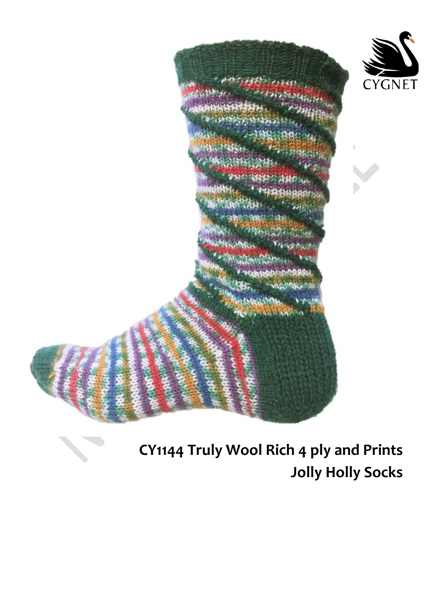

**CY1144 Truly Wool Rich 4 ply and Prints Jolly Holly Socks**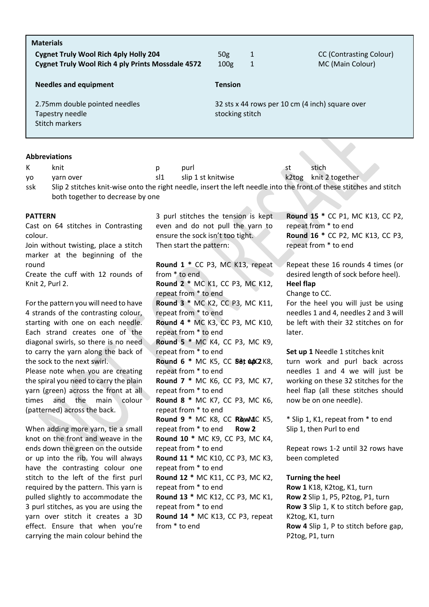| <b>Materials</b>                                         |                                                 |   |                                |
|----------------------------------------------------------|-------------------------------------------------|---|--------------------------------|
| <b>Cygnet Truly Wool Rich 4ply Holly 204</b>             | 50g                                             | 1 | <b>CC (Contrasting Colour)</b> |
| <b>Cygnet Truly Wool Rich 4 ply Prints Mossdale 4572</b> | 100 <sub>g</sub>                                | 1 | MC (Main Colour)               |
| <b>Needles and equipment</b>                             | <b>Tension</b>                                  |   |                                |
| 2.75mm double pointed needles                            | 32 sts x 44 rows per 10 cm (4 inch) square over |   |                                |
| Tapestry needle                                          | stocking stitch                                 |   |                                |
| Stitch markers                                           |                                                 |   |                                |
|                                                          |                                                 |   |                                |

# **Abbreviations**

K knit p purl st stich yo yarn over sl1 slip 1 st knitwise k2tog knit 2 together ssk Slip 2 stitches knit-wise onto the right needle, insert the left needle into the front of these stitches and stitch both together to decrease by one

### **PATTERN**

Cast on 64 stitches in Contrasting colour.

Join without twisting, place a stitch marker at the beginning of the round

Create the cuff with 12 rounds of Knit 2, Purl 2.

For the pattern you will need to have 4 strands of the contrasting colour, starting with one on each needle. Each strand creates one of the diagonal swirls, so there is no need to carry the yarn along the back of the sock to the next swirl. Please note when you are creating the spiral you need to carry the plain yarn (green) across the front at all times and the main colour (patterned) across the back.

When adding more yarn, tie a small knot on the front and weave in the ends down the green on the outside or up into the rib. You will always have the contrasting colour one stitch to the left of the first purl required by the pattern. This yarn is pulled slightly to accommodate the 3 purl stitches, as you are using the yarn over stitch it creates a 3D effect. Ensure that when you're carrying the main colour behind the 3 purl stitches the tension is kept even and do not pull the yarn to ensure the sock isn't too tight. Then start the pattern:

**Round 1 \*** CC P3, MC K13, repeat from \* to end **Round 2 \*** MC K1, CC P3, MC K12, repeat from \* to end **Round 3 \*** MC K2, CC P3, MC K11, repeat from \* to end **Round 4 \*** MC K3, CC P3, MC K10, repeat from \* to end **Round 5 \*** MC K4, CC P3, MC K9, repeat from \* to end **Round 6 \* MC K5, CC Bet 0.02 K8,** repeat from \* to end **Round 7 \*** MC K6, CC P3, MC K7, repeat from \* to end **Round 8 \*** MC K7, CC P3, MC K6, repeat from \* to end **Round 9 \* MC K8, CC RO, MAC K5,** repeat from \* to end **Round 10 \*** MC K9, CC P3, MC K4, repeat from \* to end **Round 11 \*** MC K10, CC P3, MC K3, repeat from \* to end **Round 12 \*** MC K11, CC P3, MC K2, repeat from \* to end **Round 13 \*** MC K12, CC P3, MC K1, repeat from \* to end **Round 14 \*** MC K13, CC P3, repeat from \* to end

**Round 15 \*** CC P1, MC K13, CC P2, repeat from \* to end **Round 16 \*** CC P2, MC K13, CC P3, repeat from \* to end

Repeat these 16 rounds 4 times (or desired length of sock before heel).

## **Heel flap**

Change to CC.

For the heel you will just be using needles 1 and 4, needles 2 and 3 will be left with their 32 stitches on for later.

**Set up 1** Needle 1 stitches knit turn work and purl back across needles 1 and 4 we will just be working on these 32 stitches for the heel flap (all these stitches should now be on one needle).

**Row 1** \* Slip 1, K1, repeat from \* to end **Row 2** Slip 1, then Purl to end

> Repeat rows 1-2 until 32 rows have been completed

#### **Turning the heel**

**Row 1** K18, K2tog, K1, turn **Row 2** Slip 1, P5, P2tog, P1, turn **Row 3** Slip 1, K to stitch before gap, K2tog, K1, turn **Row 4** Slip 1, P to stitch before gap, P2tog, P1, turn